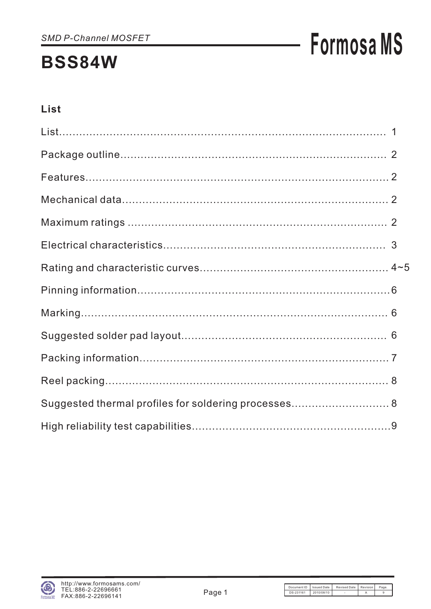# **Formosa MS**

# List

| Suggested thermal profiles for soldering processes 8 |  |
|------------------------------------------------------|--|
|                                                      |  |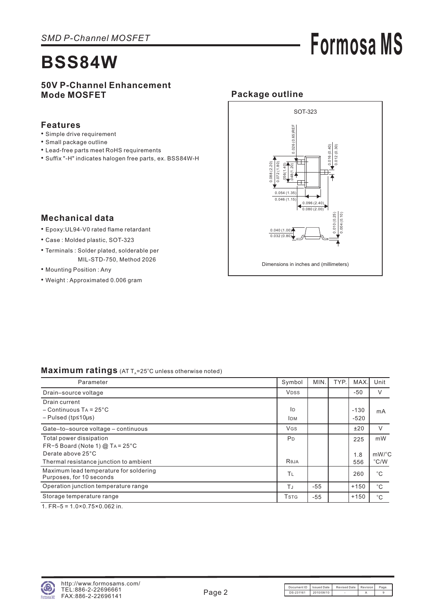# **Formosa MS**

### **50V P-Channel Enhancement Mode MOSFET**

#### **Features**

- Simple drive requirement
- Small package outline
- Lead-free parts meet RoHS requirements
- Suffix "-H" indicates halogen free parts, ex. BSS84W-H



### **Mechanical data**

- Epoxy:UL94-V0 rated flame retardant
- Case : Molded plastic, SOT-323
- Terminals : Solder plated, solderable per MIL-STD-750, Method 2026
- Mounting Position : Any
- Weight : Approximated 0.006 gram

#### Maximum ratings (AT T<sub>A</sub>=25°C unless otherwise noted)

| Parameter                                                          | Symbol                | MIN.  | TYP. | MAX.   | Unit          |
|--------------------------------------------------------------------|-----------------------|-------|------|--------|---------------|
| Drain-source voltage                                               | <b>VDSS</b>           |       |      | $-50$  | V             |
| Drain current                                                      |                       |       |      |        |               |
| $-C$ ontinuous TA = 25 $^{\circ}$ C                                | ID                    |       |      | $-130$ | mA            |
| $-$ Pulsed (tp $\leq$ 10µs)                                        | <b>IDM</b>            |       |      | $-520$ |               |
| Gate-to-source voltage - continuous                                | <b>VGS</b>            |       |      | ±20    | $\vee$        |
| Total power dissipation                                            | <b>P</b> <sub>D</sub> |       |      | 225    | mW            |
| FR-5 Board (Note 1) $@$ TA = 25 $°C$                               |                       |       |      |        |               |
| Derate above 25°C                                                  |                       |       |      | 1.8    | $mW$ /°C      |
| Thermal resistance junction to ambient                             | Reja                  |       |      | 556    | $\degree$ C/W |
| Maximum lead temperature for soldering<br>Purposes, for 10 seconds | TL                    |       |      | 260    | $^{\circ}C$   |
| Operation junction temperature range                               | ТJ                    | $-55$ |      | $+150$ | $^{\circ}$ C  |
| Storage temperature range                                          | Tstg                  | $-55$ |      | $+150$ | $^{\circ}C$   |
|                                                                    |                       |       |      |        |               |

1. FR–5 = 1.0×0.75×0.062 in.

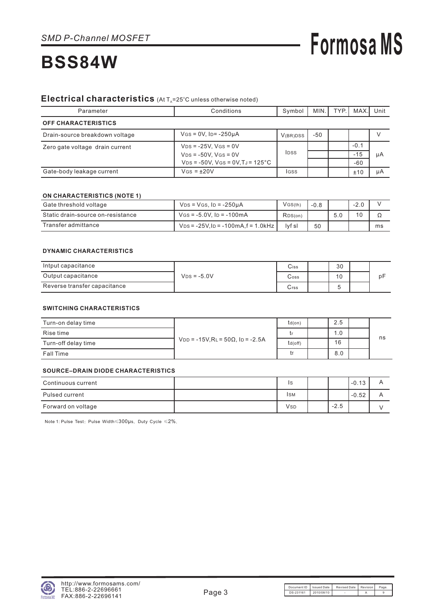#### Electrical characteristics (At T<sub>A</sub>=25°C unless otherwise noted)

| Parameter                       | Conditions                                                            | Symbol   | MIN.I | TYP. | MAX.            | Unit |
|---------------------------------|-----------------------------------------------------------------------|----------|-------|------|-----------------|------|
| <b>OFF CHARACTERISTICS</b>      |                                                                       |          |       |      |                 |      |
| Drain-source breakdown voltage  | $V$ GS = 0V, ID= -250µA                                               | V(BR)DSS | -50   |      |                 |      |
| Zero gate voltage drain current | $V_{DS} = -25V$ , $V_{GS} = 0V$<br>$V_{DS} = -50V$ , $V_{GS} = 0V$    |          |       |      | $-0.1$<br>$-15$ | μA   |
| Gate-body leakage current       | $VDS = -50V$ , $VGS = 0V$ , $TJ = 125^{\circ}C$<br>$V$ GS = $\pm$ 20V | lgss     |       |      | $-60$<br>±10    | μA   |

#### **ON CHARACTERISTICS (NOTE 1)**

| Gate threshold voltage            | $VDS = VGS$ . ID = $-250\mu A$                       | $V$ GS $(th)$ | $-0.8$ |     | $-2.0$ |    |
|-----------------------------------|------------------------------------------------------|---------------|--------|-----|--------|----|
| Static drain-source on-resistance | $V$ GS = -5.0V, Ip = -100mA                          | RDS(on)       |        | 5.0 | 10     |    |
| Transfer admittance               | $V_{DS}$ = -25V, I <sub>D</sub> = -100mA, f = 1.0kHz | lyf sl        | 50     |     |        | ms |

#### **DYNAMIC CHARACTERISTICS**

| Intput capacitance           |               | Ciss | 30 |    |
|------------------------------|---------------|------|----|----|
| Output capacitance           | $VDS = -5.0V$ | Coss | 10 | рŀ |
| Reverse transfer capacitance |               | Urss |    |    |

#### **SWITCHING CHARACTERISTICS**

| Turn-on delay time  |                                                | $td($ on $)$ | 2.5 |    |
|---------------------|------------------------------------------------|--------------|-----|----|
| Rise time           |                                                |              | 1.0 |    |
| Turn-off delay time | $V_{DD}$ = -15V, RL = 50 $\Omega$ , ID = -2.5A | td(off)      | 16  | ns |
| Fall Time           |                                                |              | 8.0 |    |

#### **SOURCE–DRAIN DIODE CHARACTERISTICS**

| Continuous current | IS          |        | $-0.13$ |  |
|--------------------|-------------|--------|---------|--|
| Pulsed current     | Isм         |        | $-0.52$ |  |
| Forward on voltage | <b>V</b> sp | $-2.5$ |         |  |

Note 1: Pulse Test: Pulse Width  $\leqslant 300 \mu s$ , Duty Cycle  $\leqslant 2\%$ .

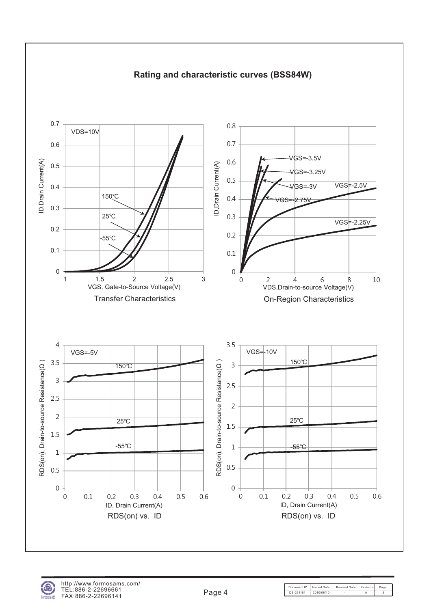

## **Rating and characteristic curves (BSS84W)**



Document ID | Issued Date | Revised Date | Revision | Pag DS-231161 2010/08/10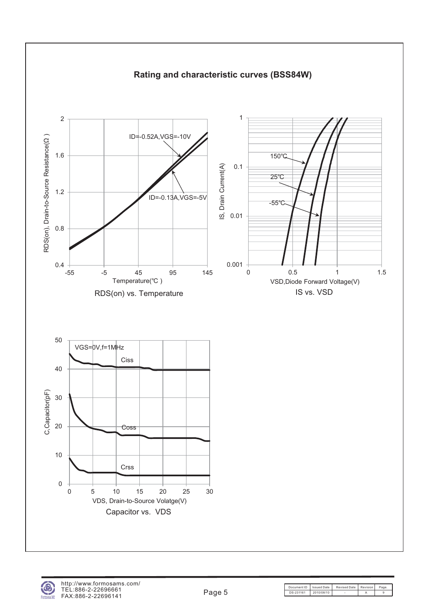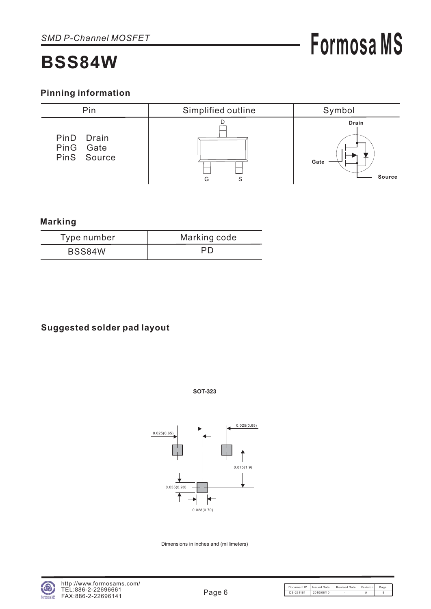## **Pinning information**



### **Marking**

| Type number | Marking code |
|-------------|--------------|
| BSS84W      | PD           |

## **Suggested solder pad layout**





Dimensions in inches and (millimeters)

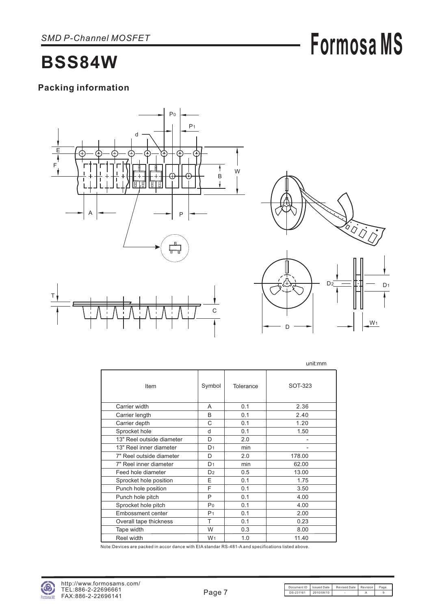# **Packing information**





W<sub>1</sub>

D

**Formosa MS**

|                           |                |           | unit:mm |
|---------------------------|----------------|-----------|---------|
| Item                      | Symbol         | Tolerance | SOT-323 |
| Carrier width             | A              | 0.1       | 2.36    |
| Carrier length            | B              | 0.1       | 2.40    |
| Carrier depth             | C              | 0.1       | 1.20    |
| Sprocket hole             | d              | 0.1       | 1.50    |
| 13" Reel outside diameter | D              | 2.0       |         |
| 13" Reel inner diameter   | D <sub>1</sub> | min       |         |
| 7" Reel outside diameter  | D              | 2.0       | 178.00  |
| 7" Reel inner diameter    | D <sub>1</sub> | min       | 62.00   |
| Feed hole diameter        | D <sub>2</sub> | 0.5       | 13.00   |
| Sprocket hole position    | E              | 0.1       | 1.75    |
| Punch hole position       | F              | 0.1       | 3.50    |
| Punch hole pitch          | P              | 0.1       | 4.00    |
| Sprocket hole pitch       | P <sub>0</sub> | 0.1       | 4.00    |
| <b>Embossment center</b>  | P <sub>1</sub> | 0.1       | 2.00    |
| Overall tape thickness    | т              | 0.1       | 0.23    |
| Tape width                | W              | 0.3       | 8.00    |
| Reel width                | W <sub>1</sub> | 1.0       | 11.40   |

Note:Devices are packed in accor dance with EIA standar RS-481-A and specifications listed above.

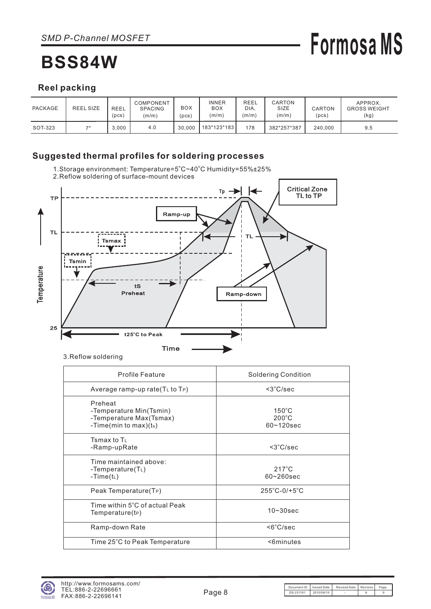# **Formosa MS**

## **Reel packing**

| PACKAGE | <b>REEL SIZE</b> | <b>REEL</b><br>(DCS) | COMPONENT<br><b>SPACING</b><br>(m/m) | BOX<br>pcs) | INNER<br><b>BOX</b><br>(m/m) | REEL<br>DIA.<br>(m/m) | CARTON<br>SIZE<br>(m/m) | <b>CARTON</b><br>(pcs) | APPROX.<br><b>GROSS WEIGHT</b><br>(kg) |
|---------|------------------|----------------------|--------------------------------------|-------------|------------------------------|-----------------------|-------------------------|------------------------|----------------------------------------|
| SOT-323 | 711              | 3.000                | 4.0                                  | 30.000      | 183*123*183                  | 178                   | 382*257*387             | 240.000                | 9.5                                    |

### **Suggested thermal profiles for soldering processes**

1.Storage environment: Temperature=5°C~40°C Humidity=55%±25%



3.Reflow soldering

| Profile Feature                                                                           | <b>Soldering Condition</b>                           |
|-------------------------------------------------------------------------------------------|------------------------------------------------------|
| Average ramp-up rate $(TL$ to $TP)$                                                       | $<$ 3 $°C/sec$                                       |
| Preheat<br>-Temperature Min(Tsmin)<br>-Temperature Max(Tsmax)<br>-Time(min to max) $(ts)$ | $150^{\circ}$ C<br>$200^{\circ}$ C<br>$60 - 120$ sec |
| Tsmax to $T_1$<br>-Ramp-upRate                                                            | $<3^{\circ}$ C/sec                                   |
| Time maintained above:<br>-Temperature $(T_L)$<br>-Time(t∟)                               | $217^{\circ}$ C<br>$60 - 260$ sec                    |
| Peak Temperature(T <sub>P</sub> )                                                         | $255^{\circ}$ C-0/+5 $^{\circ}$ C                    |
| Time within 5°C of actual Peak<br>Temperature(tP)                                         | $10 - 30$ sec                                        |
| Ramp-down Rate                                                                            | $<6^{\circ}$ C/sec                                   |
| Time 25°C to Peak Temperature                                                             | <6minutes                                            |
|                                                                                           |                                                      |